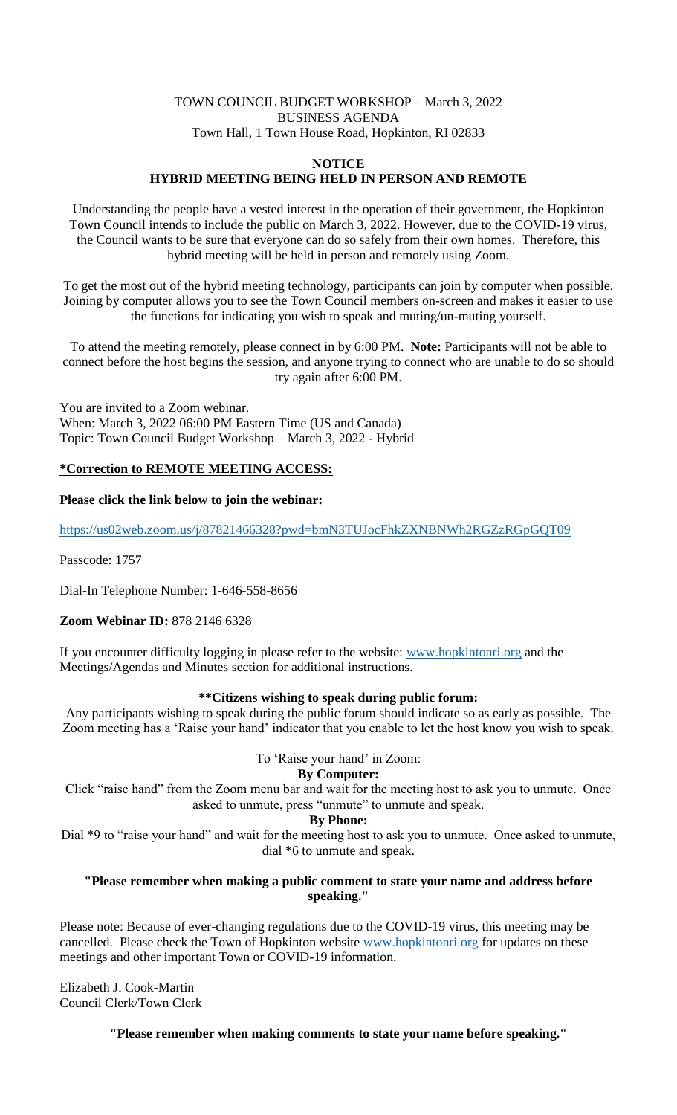#### TOWN COUNCIL BUDGET WORKSHOP – March 3, 2022 BUSINESS AGENDA Town Hall, 1 Town House Road, Hopkinton, RI 02833

#### **NOTICE HYBRID MEETING BEING HELD IN PERSON AND REMOTE**

Understanding the people have a vested interest in the operation of their government, the Hopkinton Town Council intends to include the public on March 3, 2022. However, due to the COVID-19 virus, the Council wants to be sure that everyone can do so safely from their own homes. Therefore, this hybrid meeting will be held in person and remotely using Zoom.

To get the most out of the hybrid meeting technology, participants can join by computer when possible. Joining by computer allows you to see the Town Council members on-screen and makes it easier to use the functions for indicating you wish to speak and muting/un-muting yourself.

To attend the meeting remotely, please connect in by 6:00 PM. **Note:** Participants will not be able to connect before the host begins the session, and anyone trying to connect who are unable to do so should try again after 6:00 PM.

You are invited to a Zoom webinar. When: March 3, 2022 06:00 PM Eastern Time (US and Canada) Topic: Town Council Budget Workshop – March 3, 2022 - Hybrid

# **\*Correction to REMOTE MEETING ACCESS:**

### **Please click the link below to join the webinar:**

<https://us02web.zoom.us/j/87821466328?pwd=bmN3TUJocFhkZXNBNWh2RGZzRGpGQT09>

Passcode: 1757

Dial-In Telephone Number: 1-646-558-8656

### **Zoom Webinar ID:** 878 2146 6328

If you encounter difficulty logging in please refer to the website: [www.hopkintonri.org](http://www.hopkintonri.org/) and the Meetings/Agendas and Minutes section for additional instructions.

# **\*\*Citizens wishing to speak during public forum:**

Any participants wishing to speak during the public forum should indicate so as early as possible. The Zoom meeting has a 'Raise your hand' indicator that you enable to let the host know you wish to speak.

### To 'Raise your hand' in Zoom:

# **By Computer:**

Click "raise hand" from the Zoom menu bar and wait for the meeting host to ask you to unmute. Once asked to unmute, press "unmute" to unmute and speak.

### **By Phone:**

Dial \*9 to "raise your hand" and wait for the meeting host to ask you to unmute. Once asked to unmute, dial \*6 to unmute and speak.

### **"Please remember when making a public comment to state your name and address before speaking."**

Please note: Because of ever-changing regulations due to the COVID-19 virus, this meeting may be cancelled. Please check the Town of Hopkinton website [www.hopkintonri.org](http://www.hopkintonri.org/) for updates on these meetings and other important Town or COVID-19 information.

Elizabeth J. Cook-Martin Council Clerk/Town Clerk

**"Please remember when making comments to state your name before speaking."**